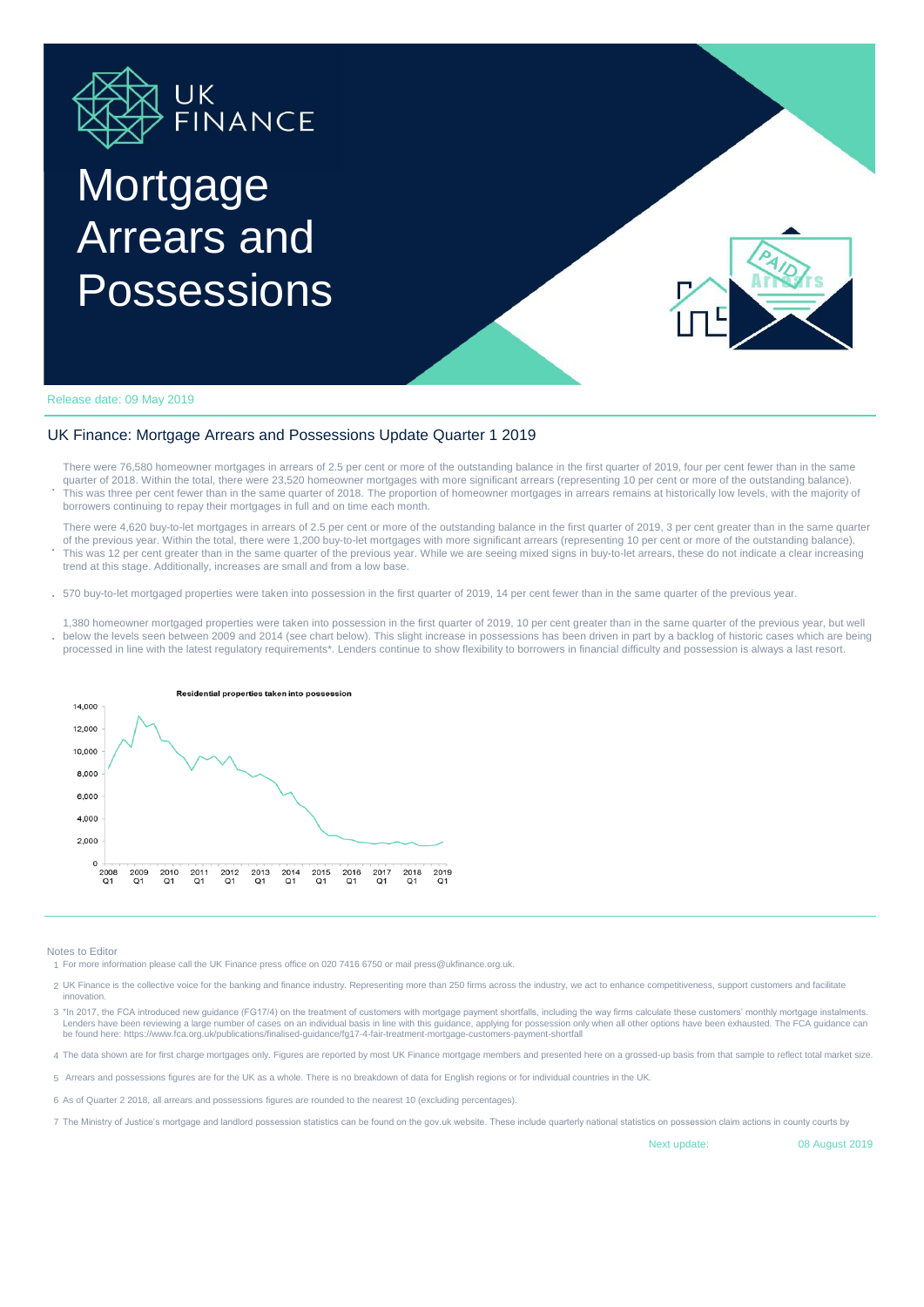

## Mortgage Arrears and Possessions



Release date: 09 May 2019

## UK Finance: Mortgage Arrears and Possessions Update Quarter 1 2019

- **.** There were 76,580 homeowner mortgages in arrears of 2.5 per cent or more of the outstanding balance in the first quarter of 2019, four per cent fewer than in the same quarter of 2018. Within the total, there were 23,520 homeowner mortgages with more significant arrears (representing 10 per cent or more of the outstanding balance). This was three per cent fewer than in the same quarter of 2018. The proportion of homeowner mortgages in arrears remains at historically low levels, with the majority of borrowers continuing to repay their mortgages in full and on time each month.
- **.** There were 4,620 buy-to-let mortgages in arrears of 2.5 per cent or more of the outstanding balance in the first quarter of 2019, 3 per cent greater than in the same quarter of the previous year. Within the total, there were 1,200 buy-to-let mortgages with more significant arrears (representing 10 per cent or more of the outstanding balance). This was 12 per cent greater than in the same quarter of the previous year. While we are seeing mixed signs in buy-to-let arrears, these do not indicate a clear increasing trend at this stage. Additionally, increases are small and from a low base.
- **.** 570 buy-to-let mortgaged properties were taken into possession in the first quarter of 2019, 14 per cent fewer than in the same quarter of the previous year.
- **.** 1,380 homeowner mortgaged properties were taken into possession in the first quarter of 2019, 10 per cent greater than in the same quarter of the previous year, but well below the levels seen between 2009 and 2014 (see chart below). This slight increase in possessions has been driven in part by a backlog of historic cases which are being processed in line with the latest regulatory requirements\*. Lenders continue to show flexibility to borrowers in financial difficulty and possession is always a last resort.



Notes to Editor

1 For more information please call the UK Finance press office on 020 7416 6750 or mail press@ukfinance.org.uk.

- 2 UK Finance is the collective voice for the banking and finance industry. Representing more than 250 firms across the industry, we act to enhance competitiveness, support customers and facilitate intov
- 3 \*In 2017, the FCA introduced new guidance (FG17/4) on the treatment of customers with mortgage payment shortfalls, including the way firms calculate these customers' monthly mortgage instalments. Lenders have been reviewing a large number of cases on an individual basis in line with this guidance, applying for possession only when all other options have been exhausted. The FCA guidance can be found here: https://www.fca.org.uk/publications/finalised-guidance/fg17-4-fair-treatment-mortgage-customers-payment-shortfall
- 4 The data shown are for first charge mortgages only. Figures are reported by most UK Finance mortgage members and presented here on a grossed-up basis from that sample to reflect total market size.

5 Arrears and possessions figures are for the UK as a whole. There is no breakdown of data for English regions or for individual countries in the UK.

- 6 As of Quarter 2 2018, all arrears and possessions figures are rounded to the nearest 10 (excluding percentages).
- 7 The Ministry of Justice's mortgage and landlord possession statistics can be found on the gov.uk website. These include quarterly national statistics on possession claim actions in county courts by

Next update:

08 August 2019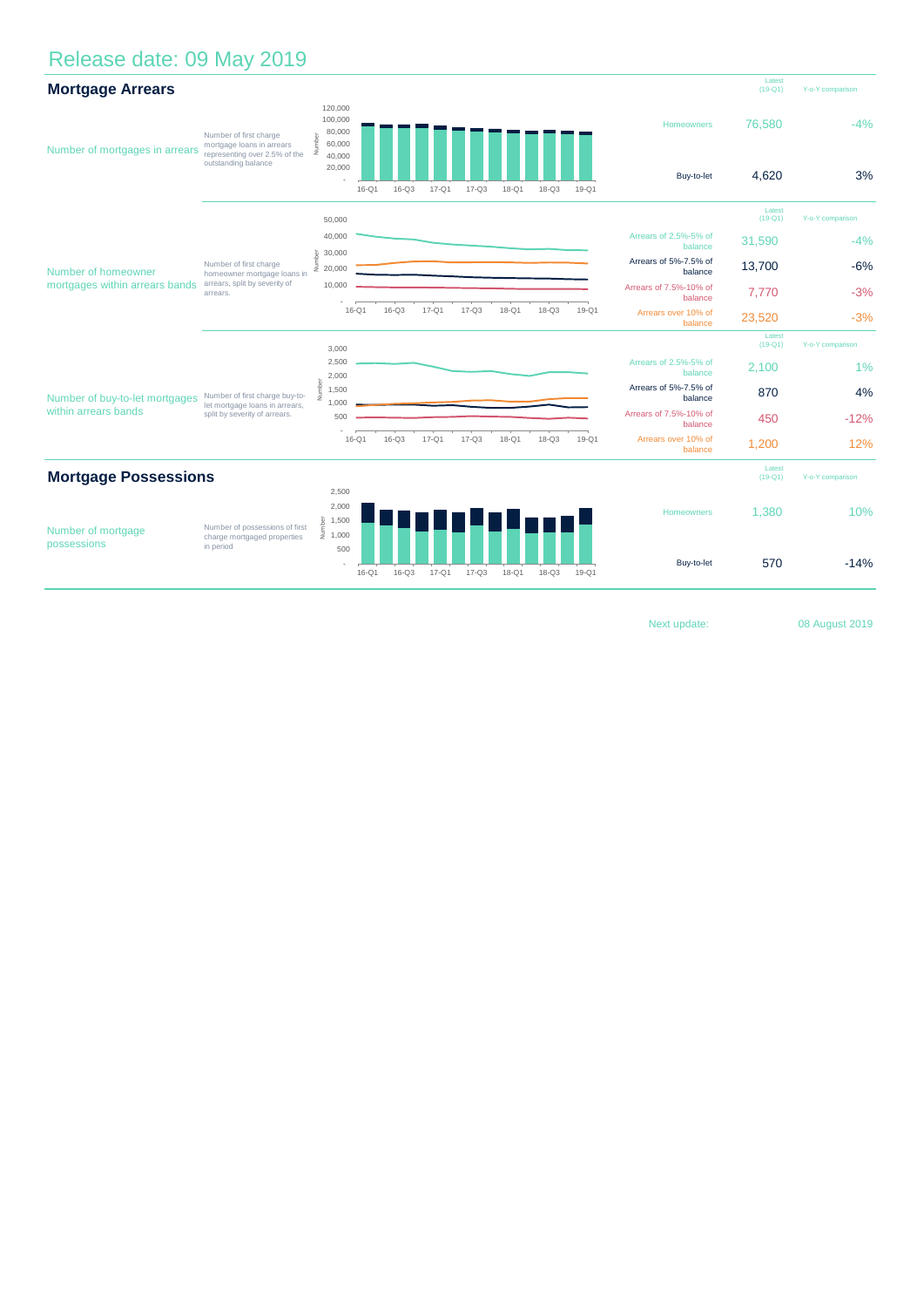## Release date: 09 May 2019

| <b>Mortgage Arrears</b>                                |                                                                                                             |                                                            |           |           |           |           |           |                     |                  |                                   | Latest<br>$(19 - Q1)$ | Y-o-Y comparison |
|--------------------------------------------------------|-------------------------------------------------------------------------------------------------------------|------------------------------------------------------------|-----------|-----------|-----------|-----------|-----------|---------------------|------------------|-----------------------------------|-----------------------|------------------|
| Number of mortgages in arrears                         | Number of first charge<br>mortgage loans in arrears<br>representing over 2.5% of the<br>outstanding balance | 120,000<br>100,000<br>80,000<br>Number<br>60,000<br>40,000 |           |           |           |           |           |                     |                  | Homeowners                        | 76,580                | $-4%$            |
|                                                        |                                                                                                             | 20,000                                                     | $16-Q1$   | $16 - Q3$ | $17 - Q1$ | $17 - Q3$ | $18 - Q1$ | $18-Q3$             | 19-Q1            | Buy-to-let                        | 4,620                 | 3%               |
| Number of homeowner<br>mortgages within arrears bands  | Number of first charge<br>homeowner mortgage loans in<br>arrears, split by severity of<br>arrears.          | 50,000                                                     |           |           |           |           |           |                     |                  |                                   | Latest<br>$(19-Q1)$   | Y-o-Y comparison |
|                                                        |                                                                                                             | 40,000                                                     |           |           |           |           |           |                     |                  | Arrears of 2.5%-5% of<br>balance  | 31,590                | $-4%$            |
|                                                        |                                                                                                             | 30,000<br>$\bar{z}$<br>20,000                              |           |           |           |           |           |                     |                  | Arrears of 5%-7.5% of<br>balance  | 13,700                | $-6%$            |
|                                                        |                                                                                                             | 10,000                                                     |           |           |           |           |           |                     |                  | Arrears of 7.5%-10% of<br>balance | 7,770                 | $-3%$            |
|                                                        |                                                                                                             |                                                            | $16-Q1$   | $16-Q3$   | $17 - Q1$ | $17 - Q3$ | $18-Q1$   | $18 - Q3$           | $19-Q1$          | Arrears over 10% of<br>balance    | 23,520                | $-3%$            |
|                                                        |                                                                                                             | 3,000                                                      |           |           |           |           |           |                     |                  |                                   | Latest<br>$(19 - Q1)$ | Y-o-Y comparison |
| Number of buy-to-let mortgages<br>within arrears bands | Number of first charge buy-to-<br>let mortgage loans in arrears,<br>split by severity of arrears.           | 2,500<br>2,000                                             |           |           |           |           |           |                     |                  | Arrears of 2.5%-5% of<br>balance  | 2,100                 | 1%               |
|                                                        |                                                                                                             | Vumber<br>1,500                                            |           |           |           |           |           |                     |                  | Arrears of 5%-7.5% of<br>balance  | 870                   | 4%               |
|                                                        |                                                                                                             | 1,000<br>500                                               |           |           |           |           |           |                     |                  | Arrears of 7.5%-10% of<br>balance | 450                   | $-12%$           |
|                                                        |                                                                                                             |                                                            | $16-Q1$   | $16-Q3$   | $17 - Q1$ | $17-Q3$   | $18-Q1$   | $18 - Q3$           | 19-Q1            | Arrears over 10% of<br>balance    | 1,200                 | 12%              |
| <b>Mortgage Possessions</b>                            |                                                                                                             |                                                            |           |           |           |           |           | Latest<br>$(19-Q1)$ | Y-o-Y comparison |                                   |                       |                  |
| Number of mortgage<br>possessions                      | Number of possessions of first<br>charge mortgaged properties<br>in period                                  | 2,500                                                      |           |           |           |           |           |                     |                  |                                   |                       |                  |
|                                                        |                                                                                                             | 2,000<br>$\frac{1}{2}$ 1,500<br>$\frac{1}{2}$ 1,000        |           |           |           |           |           |                     |                  | Homeowners                        | 1,380                 | 10%              |
|                                                        |                                                                                                             | 500                                                        | $16 - Q1$ | $16 - Q3$ | $17 - Q1$ | $17 - Q3$ | $18 - Q1$ | $18 - Q3$           | 19-Q1            | Buy-to-let                        | 570                   | $-14%$           |
|                                                        |                                                                                                             |                                                            |           |           |           |           |           |                     |                  |                                   |                       |                  |

Next update:

08 August 2019